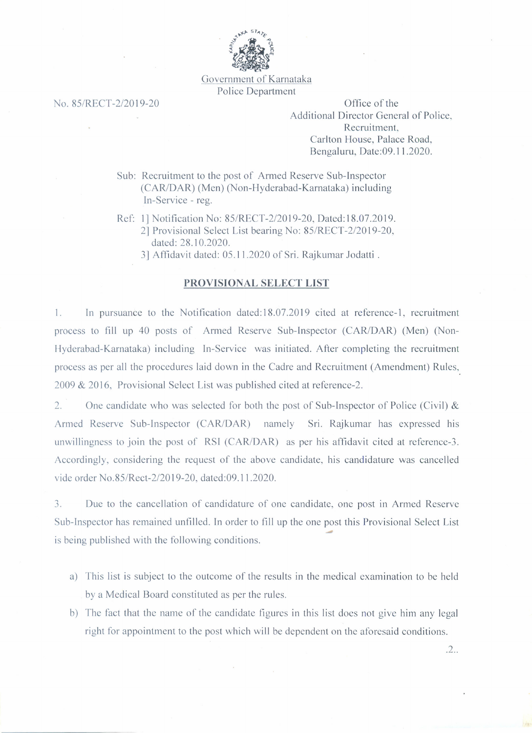

Government of Karnataka Police Department

## No. 85/RECT-2/2019-20 Office of the

Additional Director General of Police, Recruitment, Carlton House, Palace Road, Bengaluru, Date:09.11.2020.

Sub: Recruitment to the post of Armed Reserve Sub-Inspector (CAR/DAR) (Men) (Non-Hyderabad-Karnataka) including In-Service - reg.

Ref: I] Notification No: 85/RECT-2/2019-20, Oated:18.07.2019.

2] Provisional Select List bearing No: 85/RECT-2/2019-20, dated: 28.10.2020.

3] Affidavit dated: 05.11.2020 of Sri. Rajkumar Jodatti .

## **PROVISIONAL SELECT LIST**

1. In pursuance to the Notification dated: 18.07.2019 cited at reference-I, recruitment process to fill up 40 posts of Armed Reserve Sub-Inspector (CAR/DAR) (Men) (Non-Hyderabad-Karnataka) including In-Service was initiated. After completing the recruitment process as per all the procedures laid down in the Cadre and Recruitment (Amendment) Rules, 2009 & 2016, Provisional Select List was published cited at reference-2.

2. One candidate who was selected for both the post of Sub-Inspector of Police (Civil)  $\&$ Armed Reserve Sub-Inspector (CAR/OAR) namely Sri. Rajkumar has expressed his unwillingness to join the post of RSI (CAR/OAR) as per his affidavit cited at reference-3. Accordingly, considering the request of the above candidate, his candidature was cancelled vide order No.85/Rect-2/2019-20, dated:09.11.2020.

3. Due to the cancellation of candidature of one candidate, one post in Armed Reserve Sub-Inspector has remained unfilled. In order to fill up the one post this Provisional Select List is being published with the following conditions.

- a) This list is subject to the outcome of the results in the medical examination to be held by a Medical Board constituted as per the rules.
- b) The fact that the name of the candidate figures in this list does not give him any legal right for appointment to the post which will be dependent on the aforesaid conditions.

.2 ..